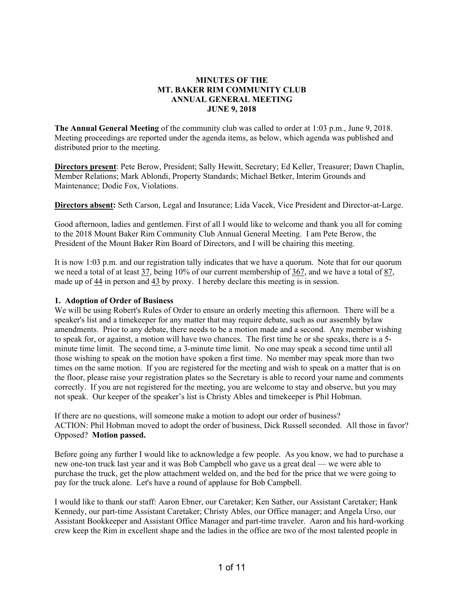# **MINUTES OF THE MT. BAKER RIM COMMUNITY CLUB ANNUAL GENERAL MEETING JUNE 9, 2018**

**The Annual General Meeting** of the community club was called to order at 1:03 p.m., June 9, 2018. Meeting proceedings are reported under the agenda items, as below, which agenda was published and distributed prior to the meeting.

**Directors present**: Pete Berow, President; Sally Hewitt, Secretary; Ed Keller, Treasurer; Dawn Chaplin, Member Relations; Mark Ablondi, Property Standards; Michael Betker, Interim Grounds and Maintenance; Dodie Fox, Violations.

**Directors absent:** Seth Carson, Legal and Insurance; Lida Vacek, Vice President and Director-at-Large.

Good afternoon, ladies and gentlemen. First of all I would like to welcome and thank you all for coming to the 2018 Mount Baker Rim Community Club Annual General Meeting. I am Pete Berow, the President of the Mount Baker Rim Board of Directors, and I will be chairing this meeting.

It is now 1:03 p.m. and our registration tally indicates that we have a quorum. Note that for our quorum we need a total of at least 37, being 10% of our current membership of 367, and we have a total of 87, made up of 44 in person and 43 by proxy. I hereby declare this meeting is in session.

#### **1. Adoption of Order of Business**

We will be using Robert's Rules of Order to ensure an orderly meeting this afternoon. There will be a speaker's list and a timekeeper for any matter that may require debate, such as our assembly bylaw amendments. Prior to any debate, there needs to be a motion made and a second. Any member wishing to speak for, or against, a motion will have two chances. The first time he or she speaks, there is a 5 minute time limit. The second time, a 3-minute time limit. No one may speak a second time until all those wishing to speak on the motion have spoken a first time. No member may speak more than two times on the same motion. If you are registered for the meeting and wish to speak on a matter that is on the floor, please raise your registration plates so the Secretary is able to record your name and comments correctly. If you are not registered for the meeting, you are welcome to stay and observe, but you may not speak. Our keeper of the speaker's list is Christy Ables and timekeeper is Phil Hobman.

If there are no questions, will someone make a motion to adopt our order of business? ACTION: Phil Hobman moved to adopt the order of business, Dick Russell seconded. All those in favor? Opposed? **Motion passed.** 

Before going any further I would like to acknowledge a few people. As you know, we had to purchase a new one-ton truck last year and it was Bob Campbell who gave us a great deal — we were able to purchase the truck, get the plow attachment welded on, and the bed for the price that we were going to pay for the truck alone. Let's have a round of applause for Bob Campbell.

I would like to thank our staff: Aaron Ebner, our Caretaker; Ken Sather, our Assistant Caretaker; Hank Kennedy, our part-time Assistant Caretaker; Christy Ables, our Office manager; and Angela Urso, our Assistant Bookkeeper and Assistant Office Manager and part-time traveler. Aaron and his hard-working crew keep the Rim in excellent shape and the ladies in the office are two of the most talented people in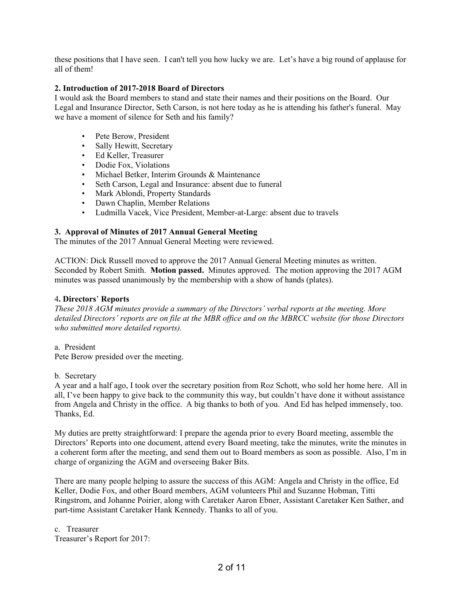these positions that I have seen. I can't tell you how lucky we are. Let's have a big round of applause for all of them!

# **2. Introduction of 2017-2018 Board of Directors**

I would ask the Board members to stand and state their names and their positions on the Board. Our Legal and Insurance Director, Seth Carson, is not here today as he is attending his father's funeral. May we have a moment of silence for Seth and his family?

- Pete Berow, President
- Sally Hewitt, Secretary
- Ed Keller, Treasurer
- Dodie Fox, Violations
- Michael Betker, Interim Grounds & Maintenance
- Seth Carson, Legal and Insurance: absent due to funeral
- Mark Ablondi, Property Standards
- Dawn Chaplin, Member Relations
- Ludmilla Vacek, Vice President, Member-at-Large: absent due to travels

# **3. Approval of Minutes of 2017 Annual General Meeting**

The minutes of the 2017 Annual General Meeting were reviewed.

ACTION: Dick Russell moved to approve the 2017 Annual General Meeting minutes as written. Seconded by Robert Smith. **Motion passed.** Minutes approved. The motion approving the 2017 AGM minutes was passed unanimously by the membership with a show of hands (plates).

#### 4**. Directors**' **Reports**

*These 2018 AGM minutes provide a summary of the Directors' verbal reports at the meeting. More detailed Directors' reports are on file at the MBR office and on the MBRCC website (for those Directors who submitted more detailed reports).*

a. President

Pete Berow presided over the meeting.

b. Secretary

A year and a half ago, I took over the secretary position from Roz Schott, who sold her home here. All in all, I've been happy to give back to the community this way, but couldn't have done it without assistance from Angela and Christy in the office. A big thanks to both of you. And Ed has helped immensely, too. Thanks, Ed.

My duties are pretty straightforward: I prepare the agenda prior to every Board meeting, assemble the Directors' Reports into one document, attend every Board meeting, take the minutes, write the minutes in a coherent form after the meeting, and send them out to Board members as soon as possible. Also, I'm in charge of organizing the AGM and overseeing Baker Bits.

There are many people helping to assure the success of this AGM: Angela and Christy in the office, Ed Keller, Dodie Fox, and other Board members, AGM volunteers Phil and Suzanne Hobman, Titti Ringstrom, and Johanne Poirier, along with Caretaker Aaron Ebner, Assistant Caretaker Ken Sather, and part-time Assistant Caretaker Hank Kennedy. Thanks to all of you.

c. Treasurer Treasurer's Report for 2017: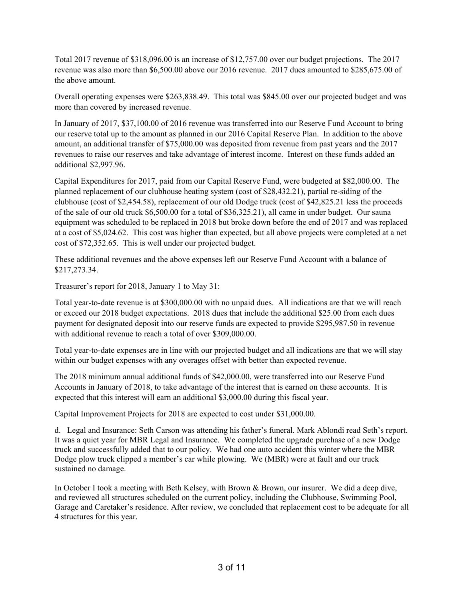Total 2017 revenue of \$318,096.00 is an increase of \$12,757.00 over our budget projections. The 2017 revenue was also more than \$6,500.00 above our 2016 revenue. 2017 dues amounted to \$285,675.00 of the above amount.

Overall operating expenses were \$263,838.49. This total was \$845.00 over our projected budget and was more than covered by increased revenue.

In January of 2017, \$37,100.00 of 2016 revenue was transferred into our Reserve Fund Account to bring our reserve total up to the amount as planned in our 2016 Capital Reserve Plan. In addition to the above amount, an additional transfer of \$75,000.00 was deposited from revenue from past years and the 2017 revenues to raise our reserves and take advantage of interest income. Interest on these funds added an additional \$2,997.96.

Capital Expenditures for 2017, paid from our Capital Reserve Fund, were budgeted at \$82,000.00. The planned replacement of our clubhouse heating system (cost of \$28,432.21), partial re-siding of the clubhouse (cost of \$2,454.58), replacement of our old Dodge truck (cost of \$42,825.21 less the proceeds of the sale of our old truck \$6,500.00 for a total of \$36,325.21), all came in under budget. Our sauna equipment was scheduled to be replaced in 2018 but broke down before the end of 2017 and was replaced at a cost of \$5,024.62. This cost was higher than expected, but all above projects were completed at a net cost of \$72,352.65. This is well under our projected budget.

These additional revenues and the above expenses left our Reserve Fund Account with a balance of \$217,273.34.

Treasurer's report for 2018, January 1 to May 31:

Total year-to-date revenue is at \$300,000.00 with no unpaid dues. All indications are that we will reach or exceed our 2018 budget expectations. 2018 dues that include the additional \$25.00 from each dues payment for designated deposit into our reserve funds are expected to provide \$295,987.50 in revenue with additional revenue to reach a total of over \$309,000.00.

Total year-to-date expenses are in line with our projected budget and all indications are that we will stay within our budget expenses with any overages offset with better than expected revenue.

The 2018 minimum annual additional funds of \$42,000.00, were transferred into our Reserve Fund Accounts in January of 2018, to take advantage of the interest that is earned on these accounts. It is expected that this interest will earn an additional \$3,000.00 during this fiscal year.

Capital Improvement Projects for 2018 are expected to cost under \$31,000.00.

d. Legal and Insurance: Seth Carson was attending his father's funeral. Mark Ablondi read Seth's report. It was a quiet year for MBR Legal and Insurance. We completed the upgrade purchase of a new Dodge truck and successfully added that to our policy. We had one auto accident this winter where the MBR Dodge plow truck clipped a member's car while plowing. We (MBR) were at fault and our truck sustained no damage.

In October I took a meeting with Beth Kelsey, with Brown & Brown, our insurer. We did a deep dive, and reviewed all structures scheduled on the current policy, including the Clubhouse, Swimming Pool, Garage and Caretaker's residence. After review, we concluded that replacement cost to be adequate for all 4 structures for this year.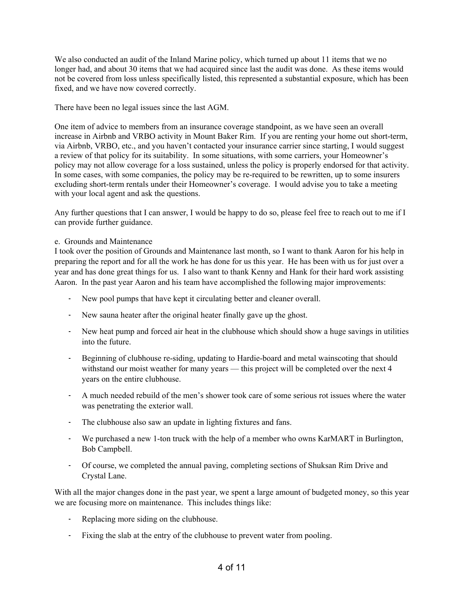We also conducted an audit of the Inland Marine policy, which turned up about 11 items that we no longer had, and about 30 items that we had acquired since last the audit was done. As these items would not be covered from loss unless specifically listed, this represented a substantial exposure, which has been fixed, and we have now covered correctly.

There have been no legal issues since the last AGM.

One item of advice to members from an insurance coverage standpoint, as we have seen an overall increase in Airbnb and VRBO activity in Mount Baker Rim. If you are renting your home out short-term, via Airbnb, VRBO, etc., and you haven't contacted your insurance carrier since starting, I would suggest a review of that policy for its suitability. In some situations, with some carriers, your Homeowner's policy may not allow coverage for a loss sustained, unless the policy is properly endorsed for that activity. In some cases, with some companies, the policy may be re-required to be rewritten, up to some insurers excluding short-term rentals under their Homeowner's coverage. I would advise you to take a meeting with your local agent and ask the questions.

Any further questions that I can answer, I would be happy to do so, please feel free to reach out to me if I can provide further guidance.

## e. Grounds and Maintenance

I took over the position of Grounds and Maintenance last month, so I want to thank Aaron for his help in preparing the report and for all the work he has done for us this year. He has been with us for just over a year and has done great things for us. I also want to thank Kenny and Hank for their hard work assisting Aaron. In the past year Aaron and his team have accomplished the following major improvements:

- New pool pumps that have kept it circulating better and cleaner overall.
- New sauna heater after the original heater finally gave up the ghost.
- New heat pump and forced air heat in the clubhouse which should show a huge savings in utilities into the future.
- Beginning of clubhouse re-siding, updating to Hardie-board and metal wainscoting that should withstand our moist weather for many years — this project will be completed over the next 4 years on the entire clubhouse.
- A much needed rebuild of the men's shower took care of some serious rot issues where the water was penetrating the exterior wall.
- The clubhouse also saw an update in lighting fixtures and fans.
- We purchased a new 1-ton truck with the help of a member who owns KarMART in Burlington, Bob Campbell.
- Of course, we completed the annual paving, completing sections of Shuksan Rim Drive and Crystal Lane.

With all the major changes done in the past year, we spent a large amount of budgeted money, so this year we are focusing more on maintenance. This includes things like:

- Replacing more siding on the clubhouse.
- Fixing the slab at the entry of the clubhouse to prevent water from pooling.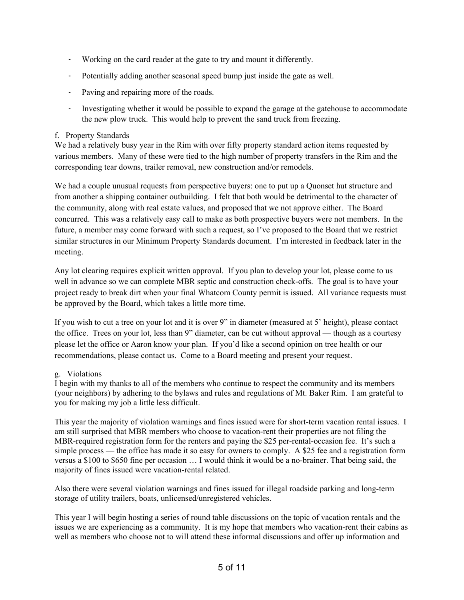- Working on the card reader at the gate to try and mount it differently.
- Potentially adding another seasonal speed bump just inside the gate as well.
- Paving and repairing more of the roads.
- Investigating whether it would be possible to expand the garage at the gatehouse to accommodate the new plow truck. This would help to prevent the sand truck from freezing.

# f. Property Standards

We had a relatively busy year in the Rim with over fifty property standard action items requested by various members. Many of these were tied to the high number of property transfers in the Rim and the corresponding tear downs, trailer removal, new construction and/or remodels.

We had a couple unusual requests from perspective buyers: one to put up a Quonset hut structure and from another a shipping container outbuilding. I felt that both would be detrimental to the character of the community, along with real estate values, and proposed that we not approve either. The Board concurred. This was a relatively easy call to make as both prospective buyers were not members. In the future, a member may come forward with such a request, so I've proposed to the Board that we restrict similar structures in our Minimum Property Standards document. I'm interested in feedback later in the meeting.

Any lot clearing requires explicit written approval. If you plan to develop your lot, please come to us well in advance so we can complete MBR septic and construction check-offs. The goal is to have your project ready to break dirt when your final Whatcom County permit is issued. All variance requests must be approved by the Board, which takes a little more time.

If you wish to cut a tree on your lot and it is over 9" in diameter (measured at 5' height), please contact the office. Trees on your lot, less than 9" diameter, can be cut without approval — though as a courtesy please let the office or Aaron know your plan. If you'd like a second opinion on tree health or our recommendations, please contact us. Come to a Board meeting and present your request.

# g. Violations

I begin with my thanks to all of the members who continue to respect the community and its members (your neighbors) by adhering to the bylaws and rules and regulations of Mt. Baker Rim. I am grateful to you for making my job a little less difficult.

This year the majority of violation warnings and fines issued were for short-term vacation rental issues. I am still surprised that MBR members who choose to vacation-rent their properties are not filing the MBR-required registration form for the renters and paying the \$25 per-rental-occasion fee. It's such a simple process — the office has made it so easy for owners to comply. A \$25 fee and a registration form versus a \$100 to \$650 fine per occasion … I would think it would be a no-brainer. That being said, the majority of fines issued were vacation-rental related.

Also there were several violation warnings and fines issued for illegal roadside parking and long-term storage of utility trailers, boats, unlicensed/unregistered vehicles.

This year I will begin hosting a series of round table discussions on the topic of vacation rentals and the issues we are experiencing as a community. It is my hope that members who vacation-rent their cabins as well as members who choose not to will attend these informal discussions and offer up information and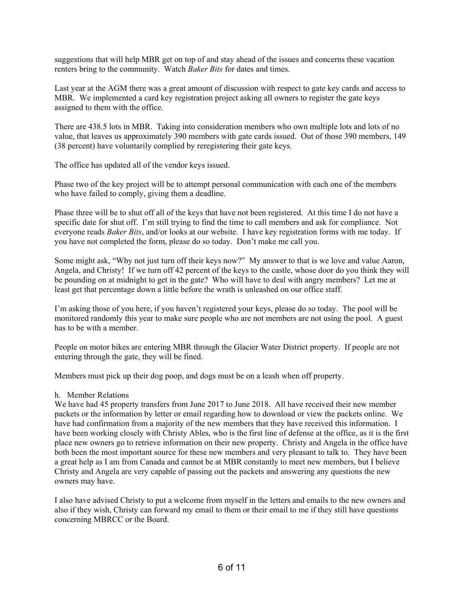suggestions that will help MBR get on top of and stay ahead of the issues and concerns these vacation renters bring to the community. Watch *Baker Bits* for dates and times.

Last year at the AGM there was a great amount of discussion with respect to gate key cards and access to MBR. We implemented a card key registration project asking all owners to register the gate keys assigned to them with the office.

There are 438.5 lots in MBR. Taking into consideration members who own multiple lots and lots of no value, that leaves us approximately 390 members with gate cards issued. Out of those 390 members, 149 (38 percent) have voluntarily complied by reregistering their gate keys.

The office has updated all of the vendor keys issued.

Phase two of the key project will be to attempt personal communication with each one of the members who have failed to comply, giving them a deadline.

Phase three will be to shut off all of the keys that have not been registered. At this time I do not have a specific date for shut off. I'm still trying to find the time to call members and ask for compliance. Not everyone reads *Baker Bits*, and/or looks at our website. I have key registration forms with me today. If you have not completed the form, please do so today. Don't make me call you.

Some might ask, "Why not just turn off their keys now?" My answer to that is we love and value Aaron, Angela, and Christy! If we turn off 42 percent of the keys to the castle, whose door do you think they will be pounding on at midnight to get in the gate? Who will have to deal with angry members? Let me at least get that percentage down a little before the wrath is unleashed on our office staff.

I'm asking those of you here, if you haven't registered your keys, please do so today. The pool will be monitored randomly this year to make sure people who are not members are not using the pool. A guest has to be with a member.

People on motor bikes are entering MBR through the Glacier Water District property. If people are not entering through the gate, they will be fined.

Members must pick up their dog poop, and dogs must be on a leash when off property.

#### h. Member Relations

We have had 45 property transfers from June 2017 to June 2018. All have received their new member packets or the information by letter or email regarding how to download or view the packets online. We have had confirmation from a majority of the new members that they have received this information. I have been working closely with Christy Ables, who is the first line of defense at the office, as it is the first place new owners go to retrieve information on their new property. Christy and Angela in the office have both been the most important source for these new members and very pleasant to talk to. They have been a great help as I am from Canada and cannot be at MBR constantly to meet new members, but I believe Christy and Angela are very capable of passing out the packets and answering any questions the new owners may have.

I also have advised Christy to put a welcome from myself in the letters and emails to the new owners and also if they wish, Christy can forward my email to them or their email to me if they still have questions concerning MBRCC or the Board.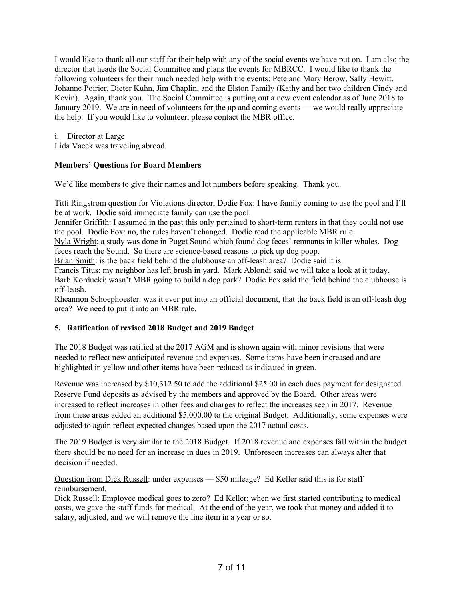I would like to thank all our staff for their help with any of the social events we have put on. I am also the director that heads the Social Committee and plans the events for MBRCC. I would like to thank the following volunteers for their much needed help with the events: Pete and Mary Berow, Sally Hewitt, Johanne Poirier, Dieter Kuhn, Jim Chaplin, and the Elston Family (Kathy and her two children Cindy and Kevin). Again, thank you. The Social Committee is putting out a new event calendar as of June 2018 to January 2019. We are in need of volunteers for the up and coming events — we would really appreciate the help. If you would like to volunteer, please contact the MBR office.

i. Director at Large

Lida Vacek was traveling abroad.

# **Members' Questions for Board Members**

We'd like members to give their names and lot numbers before speaking. Thank you.

Titti Ringstrom question for Violations director, Dodie Fox: I have family coming to use the pool and I'll be at work. Dodie said immediate family can use the pool.

Jennifer Griffith: I assumed in the past this only pertained to short-term renters in that they could not use the pool. Dodie Fox: no, the rules haven't changed. Dodie read the applicable MBR rule.

Nyla Wright: a study was done in Puget Sound which found dog feces' remnants in killer whales. Dog feces reach the Sound. So there are science-based reasons to pick up dog poop.

Brian Smith: is the back field behind the clubhouse an off-leash area? Dodie said it is.

Francis Titus: my neighbor has left brush in yard. Mark Ablondi said we will take a look at it today.

Barb Korducki: wasn't MBR going to build a dog park? Dodie Fox said the field behind the clubhouse is off-leash.

Rheannon Schoephoester: was it ever put into an official document, that the back field is an off-leash dog area? We need to put it into an MBR rule.

# **5. Ratification of revised 2018 Budget and 2019 Budget**

The 2018 Budget was ratified at the 2017 AGM and is shown again with minor revisions that were needed to reflect new anticipated revenue and expenses. Some items have been increased and are highlighted in yellow and other items have been reduced as indicated in green.

Revenue was increased by \$10,312.50 to add the additional \$25.00 in each dues payment for designated Reserve Fund deposits as advised by the members and approved by the Board. Other areas were increased to reflect increases in other fees and charges to reflect the increases seen in 2017. Revenue from these areas added an additional \$5,000.00 to the original Budget. Additionally, some expenses were adjusted to again reflect expected changes based upon the 2017 actual costs.

The 2019 Budget is very similar to the 2018 Budget. If 2018 revenue and expenses fall within the budget there should be no need for an increase in dues in 2019. Unforeseen increases can always alter that decision if needed.

Question from Dick Russell: under expenses — \$50 mileage? Ed Keller said this is for staff reimbursement.

Dick Russell: Employee medical goes to zero? Ed Keller: when we first started contributing to medical costs, we gave the staff funds for medical. At the end of the year, we took that money and added it to salary, adjusted, and we will remove the line item in a year or so.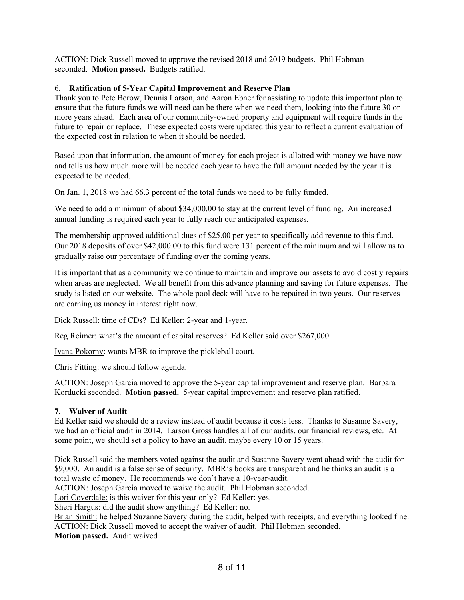ACTION: Dick Russell moved to approve the revised 2018 and 2019 budgets. Phil Hobman seconded. **Motion passed.** Budgets ratified.

# 6**. Ratification of 5-Year Capital Improvement and Reserve Plan**

Thank you to Pete Berow, Dennis Larson, and Aaron Ebner for assisting to update this important plan to ensure that the future funds we will need can be there when we need them, looking into the future 30 or more years ahead. Each area of our community-owned property and equipment will require funds in the future to repair or replace. These expected costs were updated this year to reflect a current evaluation of the expected cost in relation to when it should be needed.

Based upon that information, the amount of money for each project is allotted with money we have now and tells us how much more will be needed each year to have the full amount needed by the year it is expected to be needed.

On Jan. 1, 2018 we had 66.3 percent of the total funds we need to be fully funded.

We need to add a minimum of about \$34,000.00 to stay at the current level of funding. An increased annual funding is required each year to fully reach our anticipated expenses.

The membership approved additional dues of \$25.00 per year to specifically add revenue to this fund. Our 2018 deposits of over \$42,000.00 to this fund were 131 percent of the minimum and will allow us to gradually raise our percentage of funding over the coming years.

It is important that as a community we continue to maintain and improve our assets to avoid costly repairs when areas are neglected. We all benefit from this advance planning and saving for future expenses. The study is listed on our website. The whole pool deck will have to be repaired in two years. Our reserves are earning us money in interest right now.

Dick Russell: time of CDs? Ed Keller: 2-year and 1-year.

Reg Reimer: what's the amount of capital reserves? Ed Keller said over \$267,000.

Ivana Pokorny: wants MBR to improve the pickleball court.

Chris Fitting: we should follow agenda.

ACTION: Joseph Garcia moved to approve the 5-year capital improvement and reserve plan. Barbara Korducki seconded. **Motion passed.** 5-year capital improvement and reserve plan ratified.

# **7. Waiver of Audit**

Ed Keller said we should do a review instead of audit because it costs less. Thanks to Susanne Savery, we had an official audit in 2014. Larson Gross handles all of our audits, our financial reviews, etc. At some point, we should set a policy to have an audit, maybe every 10 or 15 years.

Dick Russell said the members voted against the audit and Susanne Savery went ahead with the audit for \$9,000. An audit is a false sense of security. MBR's books are transparent and he thinks an audit is a total waste of money. He recommends we don't have a 10-year-audit.

ACTION: Joseph Garcia moved to waive the audit. Phil Hobman seconded.

Lori Coverdale: is this waiver for this year only? Ed Keller: yes.

Sheri Hargus: did the audit show anything? Ed Keller: no.

Brian Smith: he helped Suzanne Savery during the audit, helped with receipts, and everything looked fine. ACTION: Dick Russell moved to accept the waiver of audit. Phil Hobman seconded.

**Motion passed.** Audit waived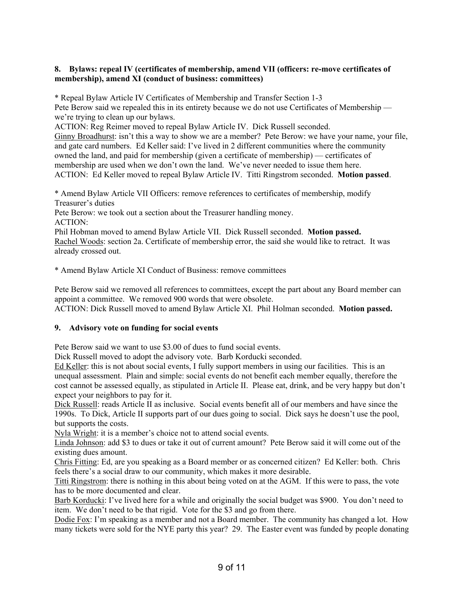# **8. Bylaws: repeal IV (certificates of membership, amend VII (officers: re-move certificates of membership), amend XI (conduct of business: committees)**

\* Repeal Bylaw Article IV Certificates of Membership and Transfer Section 1-3 Pete Berow said we repealed this in its entirety because we do not use Certificates of Membership we're trying to clean up our bylaws.

ACTION: Reg Reimer moved to repeal Bylaw Article IV. Dick Russell seconded. Ginny Broadhurst: isn't this a way to show we are a member? Pete Berow: we have your name, your file, and gate card numbers. Ed Keller said: I've lived in 2 different communities where the community owned the land, and paid for membership (given a certificate of membership) — certificates of membership are used when we don't own the land. We've never needed to issue them here. ACTION: Ed Keller moved to repeal Bylaw Article IV. Titti Ringstrom seconded. **Motion passed**.

\* Amend Bylaw Article VII Officers: remove references to certificates of membership, modify Treasurer's duties

Pete Berow: we took out a section about the Treasurer handling money. ACTION:

Phil Hobman moved to amend Bylaw Article VII. Dick Russell seconded. **Motion passed.** Rachel Woods: section 2a. Certificate of membership error, the said she would like to retract. It was already crossed out.

\* Amend Bylaw Article XI Conduct of Business: remove committees

Pete Berow said we removed all references to committees, except the part about any Board member can appoint a committee. We removed 900 words that were obsolete. ACTION: Dick Russell moved to amend Bylaw Article XI. Phil Holman seconded. **Motion passed.**

# **9. Advisory vote on funding for social events**

Pete Berow said we want to use \$3.00 of dues to fund social events.

Dick Russell moved to adopt the advisory vote. Barb Korducki seconded.

Ed Keller: this is not about social events, I fully support members in using our facilities. This is an unequal assessment. Plain and simple: social events do not benefit each member equally, therefore the cost cannot be assessed equally, as stipulated in Article II. Please eat, drink, and be very happy but don't expect your neighbors to pay for it.

Dick Russell: reads Article II as inclusive. Social events benefit all of our members and have since the 1990s. To Dick, Article II supports part of our dues going to social. Dick says he doesn't use the pool, but supports the costs.

Nyla Wright: it is a member's choice not to attend social events.

Linda Johnson: add \$3 to dues or take it out of current amount? Pete Berow said it will come out of the existing dues amount.

Chris Fitting: Ed, are you speaking as a Board member or as concerned citizen? Ed Keller: both. Chris feels there's a social draw to our community, which makes it more desirable.

Titti Ringstrom: there is nothing in this about being voted on at the AGM. If this were to pass, the vote has to be more documented and clear.

Barb Korducki: I've lived here for a while and originally the social budget was \$900. You don't need to item. We don't need to be that rigid. Vote for the \$3 and go from there.

Dodie Fox: I'm speaking as a member and not a Board member. The community has changed a lot. How many tickets were sold for the NYE party this year? 29. The Easter event was funded by people donating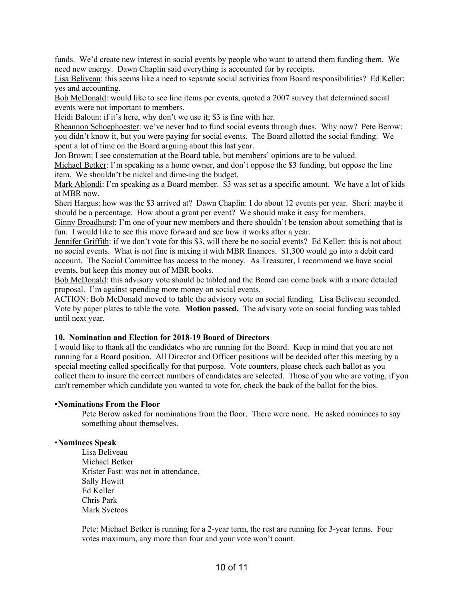funds. We'd create new interest in social events by people who want to attend them funding them. We need new energy. Dawn Chaplin said everything is accounted for by receipts.

Lisa Beliveau: this seems like a need to separate social activities from Board responsibilities? Ed Keller: yes and accounting.

Bob McDonald: would like to see line items per events, quoted a 2007 survey that determined social events were not important to members.

Heidi Baloun: if it's here, why don't we use it; \$3 is fine with her.

Rheannon Schoephoester: we've never had to fund social events through dues. Why now? Pete Berow: you didn't know it, but you were paying for social events. The Board allotted the social funding. We spent a lot of time on the Board arguing about this last year.

Jon Brown: I see consternation at the Board table, but members' opinions are to be valued.

Michael Betker: I'm speaking as a home owner, and don't oppose the \$3 funding, but oppose the line item. We shouldn't be nickel and dime-ing the budget.

Mark Ablondi: I'm speaking as a Board member. \$3 was set as a specific amount. We have a lot of kids at MBR now.

Sheri Hargus: how was the \$3 arrived at? Dawn Chaplin: I do about 12 events per year. Sheri: maybe it should be a percentage. How about a grant per event? We should make it easy for members.

Ginny Broadhurst: I'm one of your new members and there shouldn't be tension about something that is fun. I would like to see this move forward and see how it works after a year.

Jennifer Griffith: if we don't vote for this \$3, will there be no social events? Ed Keller: this is not about no social events. What is not fine is mixing it with MBR finances. \$1,300 would go into a debit card account. The Social Committee has access to the money. As Treasurer, I recommend we have social events, but keep this money out of MBR books.

Bob McDonald: this advisory vote should be tabled and the Board can come back with a more detailed proposal. I'm against spending more money on social events.

ACTION: Bob McDonald moved to table the advisory vote on social funding. Lisa Beliveau seconded. Vote by paper plates to table the vote. **Motion passed.** The advisory vote on social funding was tabled until next year.

#### **10. Nomination and Election for 2018-19 Board of Directors**

I would like to thank all the candidates who are running for the Board. Keep in mind that you are not running for a Board position. All Director and Officer positions will be decided after this meeting by a special meeting called specifically for that purpose. Vote counters, please check each ballot as you collect them to insure the correct numbers of candidates are selected. Those of you who are voting, if you can't remember which candidate you wanted to vote for, check the back of the ballot for the bios.

#### • **Nominations From the Floor**

 Pete Berow asked for nominations from the floor. There were none. He asked nominees to say something about themselves.

## • **Nominees Speak**

Lisa Beliveau Michael Betker Krister Fast: was not in attendance. Sally Hewitt Ed Keller Chris Park Mark Svetcos

Pete: Michael Betker is running for a 2-year term, the rest are running for 3-year terms. Four votes maximum, any more than four and your vote won't count.